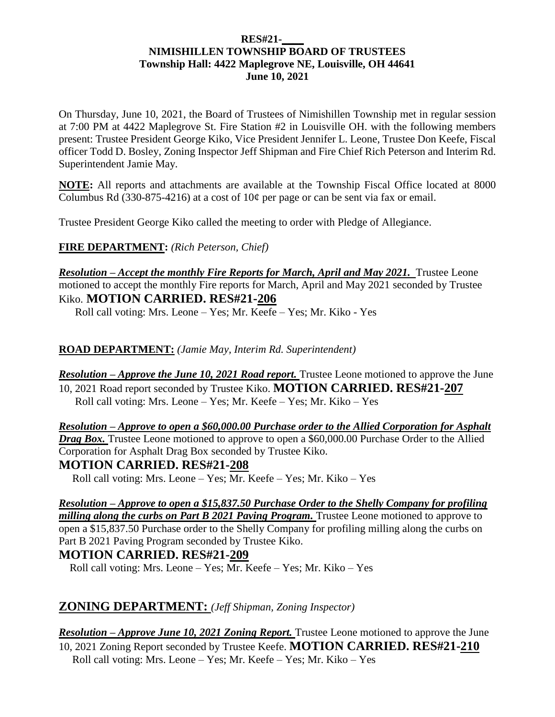### **RES#21-\_\_\_\_ NIMISHILLEN TOWNSHIP BOARD OF TRUSTEES Township Hall: 4422 Maplegrove NE, Louisville, OH 44641 June 10, 2021**

On Thursday, June 10, 2021, the Board of Trustees of Nimishillen Township met in regular session at 7:00 PM at 4422 Maplegrove St. Fire Station #2 in Louisville OH. with the following members present: Trustee President George Kiko, Vice President Jennifer L. Leone, Trustee Don Keefe, Fiscal officer Todd D. Bosley, Zoning Inspector Jeff Shipman and Fire Chief Rich Peterson and Interim Rd. Superintendent Jamie May.

**NOTE:** All reports and attachments are available at the Township Fiscal Office located at 8000 Columbus Rd (330-875-4216) at a cost of  $10¢$  per page or can be sent via fax or email.

Trustee President George Kiko called the meeting to order with Pledge of Allegiance.

**FIRE DEPARTMENT:** *(Rich Peterson, Chief)*

*Resolution – Accept the monthly Fire Reports for March, April and May 2021.* Trustee Leone motioned to accept the monthly Fire reports for March, April and May 2021 seconded by Trustee Kiko. **MOTION CARRIED. RES#21-206**

Roll call voting: Mrs. Leone – Yes; Mr. Keefe – Yes; Mr. Kiko - Yes

### **ROAD DEPARTMENT:** *(Jamie May, Interim Rd. Superintendent)*

*Resolution – Approve the June 10, 2021 Road report.* Trustee Leone motioned to approve the June 10, 2021 Road report seconded by Trustee Kiko. **MOTION CARRIED. RES#21-207** Roll call voting: Mrs. Leone – Yes; Mr. Keefe – Yes; Mr. Kiko – Yes

*Resolution – Approve to open a \$60,000.00 Purchase order to the Allied Corporation for Asphalt Drag Box.* Trustee Leone motioned to approve to open a \$60,000.00 Purchase Order to the Allied Corporation for Asphalt Drag Box seconded by Trustee Kiko.

## **MOTION CARRIED. RES#21-208**

Roll call voting: Mrs. Leone – Yes; Mr. Keefe – Yes; Mr. Kiko – Yes

*Resolution – Approve to open a \$15,837.50 Purchase Order to the Shelly Company for profiling milling along the curbs on Part B 2021 Paving Program.* Trustee Leone motioned to approve to open a \$15,837.50 Purchase order to the Shelly Company for profiling milling along the curbs on Part B 2021 Paving Program seconded by Trustee Kiko.

## **MOTION CARRIED. RES#21-209**

Roll call voting: Mrs. Leone – Yes; Mr. Keefe – Yes; Mr. Kiko – Yes

## **ZONING DEPARTMENT:** *(Jeff Shipman, Zoning Inspector)*

*Resolution – Approve June 10, 2021 Zoning Report.* Trustee Leone motioned to approve the June 10, 2021 Zoning Report seconded by Trustee Keefe. **MOTION CARRIED. RES#21-210** Roll call voting: Mrs. Leone – Yes; Mr. Keefe – Yes; Mr. Kiko – Yes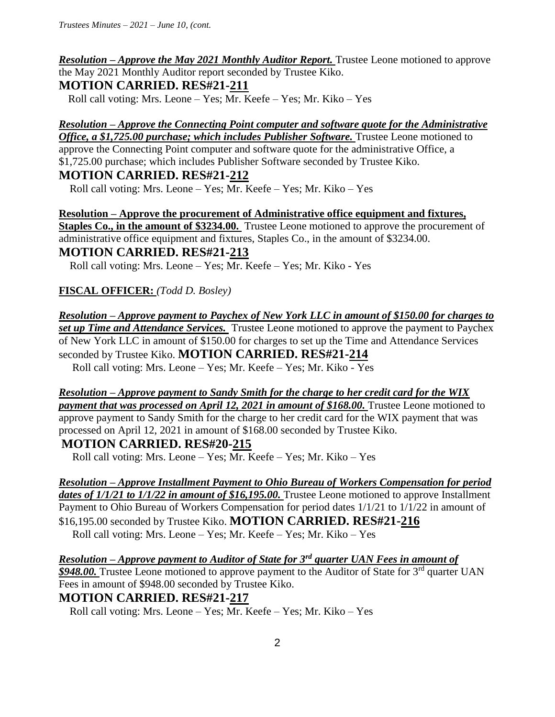*Resolution – Approve the May 2021 Monthly Auditor Report.* Trustee Leone motioned to approve the May 2021 Monthly Auditor report seconded by Trustee Kiko. **MOTION CARRIED. RES#21-211**

Roll call voting: Mrs. Leone – Yes; Mr. Keefe – Yes; Mr. Kiko – Yes

#### *Resolution – Approve the Connecting Point computer and software quote for the Administrative Office, a \$1,725.00 purchase; which includes Publisher Software. Trustee Leone motioned to*

approve the Connecting Point computer and software quote for the administrative Office, a \$1,725.00 purchase; which includes Publisher Software seconded by Trustee Kiko.

# **MOTION CARRIED. RES#21-212**

Roll call voting: Mrs. Leone – Yes; Mr. Keefe – Yes; Mr. Kiko – Yes

**Resolution – Approve the procurement of Administrative office equipment and fixtures, Staples Co., in the amount of \$3234.00.** Trustee Leone motioned to approve the procurement of administrative office equipment and fixtures, Staples Co., in the amount of \$3234.00. **MOTION CARRIED. RES#21-213** 

Roll call voting: Mrs. Leone – Yes; Mr. Keefe – Yes; Mr. Kiko - Yes

## **FISCAL OFFICER:** *(Todd D. Bosley)*

*Resolution – Approve payment to Paychex of New York LLC in amount of \$150.00 for charges to set up Time and Attendance Services.* Trustee Leone motioned to approve the payment to Paychex of New York LLC in amount of \$150.00 for charges to set up the Time and Attendance Services seconded by Trustee Kiko. **MOTION CARRIED. RES#21-214**  Roll call voting: Mrs. Leone – Yes; Mr. Keefe – Yes; Mr. Kiko - Yes

*Resolution – Approve payment to Sandy Smith for the charge to her credit card for the WIX payment that was processed on April 12, 2021 in amount of \$168.00.* **Trustee Leone motioned to** approve payment to Sandy Smith for the charge to her credit card for the WIX payment that was processed on April 12, 2021 in amount of \$168.00 seconded by Trustee Kiko. **MOTION CARRIED. RES#20-215**

Roll call voting: Mrs. Leone – Yes; Mr. Keefe – Yes; Mr. Kiko – Yes

*Resolution – Approve Installment Payment to Ohio Bureau of Workers Compensation for period*  dates of  $1/1/21$  to  $1/1/22$  in amount of \$16,195.00. Trustee Leone motioned to approve Installment Payment to Ohio Bureau of Workers Compensation for period dates 1/1/21 to 1/1/22 in amount of \$16,195.00 seconded by Trustee Kiko. **MOTION CARRIED. RES#21-216** Roll call voting: Mrs. Leone – Yes; Mr. Keefe – Yes; Mr. Kiko – Yes

*Resolution – Approve payment to Auditor of State for 3rd quarter UAN Fees in amount of*  \$948.00. Trustee Leone motioned to approve payment to the Auditor of State for 3<sup>rd</sup> quarter UAN Fees in amount of \$948.00 seconded by Trustee Kiko.

**MOTION CARRIED. RES#21-217** 

Roll call voting: Mrs. Leone – Yes; Mr. Keefe – Yes; Mr. Kiko – Yes